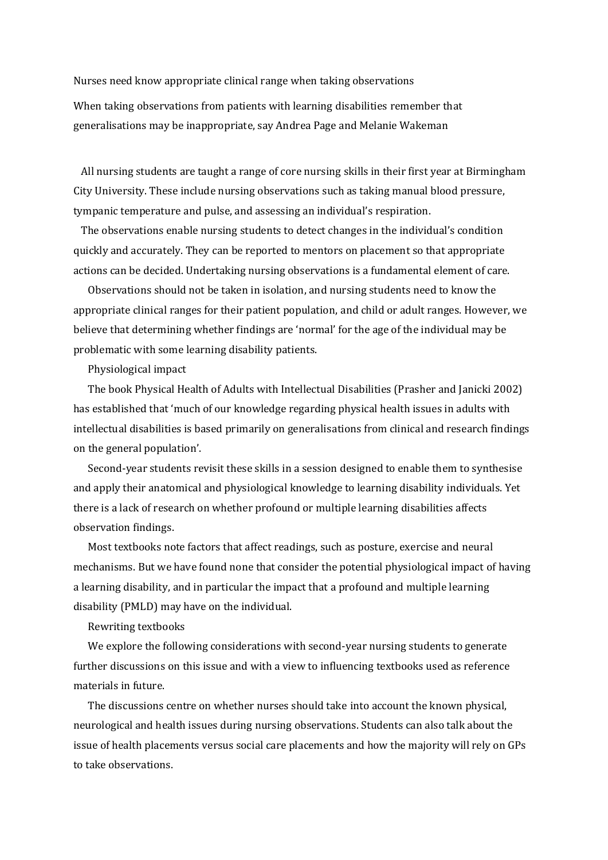Nurses need know appropriate clinical range when taking observations

When taking observations from patients with learning disabilities remember that generalisations may be inappropriate, say Andrea Page and Melanie Wakeman

 All nursing students are taught a range of core nursing skills in their first year at Birmingham City University. These include nursing observations such as taking manual blood pressure, tympanic temperature and pulse, and assessing an individual's respiration.

 The observations enable nursing students to detect changes in the individual's condition quickly and accurately. They can be reported to mentors on placement so that appropriate actions can be decided. Undertaking nursing observations is a fundamental element of care.

Observations should not be taken in isolation, and nursing students need to know the appropriate clinical ranges for their patient population, and child or adult ranges. However, we believe that determining whether findings are 'normal' for the age of the individual may be problematic with some learning disability patients.

## Physiological impact

The book Physical Health of Adults with Intellectual Disabilities (Prasher and Janicki 2002) has established that 'much of our knowledge regarding physical health issues in adults with intellectual disabilities is based primarily on generalisations from clinical and research findings on the general population'.

Second-year students revisit these skills in a session designed to enable them to synthesise and apply their anatomical and physiological knowledge to learning disability individuals. Yet there is a lack of research on whether profound or multiple learning disabilities affects observation findings.

Most textbooks note factors that affect readings, such as posture, exercise and neural mechanisms. But we have found none that consider the potential physiological impact of having a learning disability, and in particular the impact that a profound and multiple learning disability (PMLD) may have on the individual.

## Rewriting textbooks

We explore the following considerations with second-year nursing students to generate further discussions on this issue and with a view to influencing textbooks used as reference materials in future.

The discussions centre on whether nurses should take into account the known physical, neurological and health issues during nursing observations. Students can also talk about the issue of health placements versus social care placements and how the majority will rely on GPs to take observations.